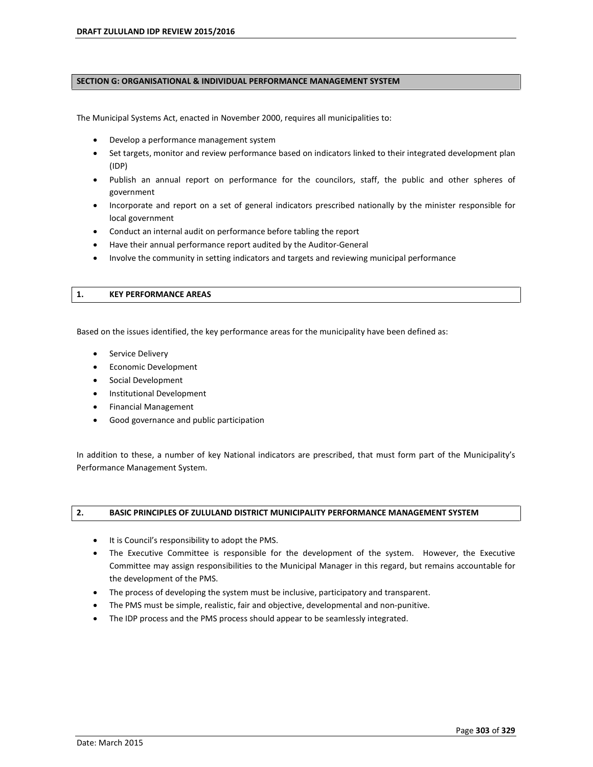### **SECTION G: ORGANISATIONAL & INDIVIDUAL PERFORMANCE MANAGEMENT SYSTEM**

The Municipal Systems Act, enacted in November 2000, requires all municipalities to:

- Develop a performance management system
- Set targets, monitor and review performance based on indicators linked to their integrated development plan (IDP)
- Publish an annual report on performance for the councilors, staff, the public and other spheres of government
- Incorporate and report on a set of general indicators prescribed nationally by the minister responsible for local government
- Conduct an internal audit on performance before tabling the report
- Have their annual performance report audited by the Auditor-General
- Involve the community in setting indicators and targets and reviewing municipal performance

### **1. KEY PERFORMANCE AREAS**

Based on the issues identified, the key performance areas for the municipality have been defined as:

- **•** Service Delivery
- Economic Development
- Social Development
- Institutional Development
- Financial Management
- Good governance and public participation

In addition to these, a number of key National indicators are prescribed, that must form part of the Municipality's Performance Management System.

## **2. BASIC PRINCIPLES OF ZULULAND DISTRICT MUNICIPALITY PERFORMANCE MANAGEMENT SYSTEM**

- It is Council's responsibility to adopt the PMS.
- The Executive Committee is responsible for the development of the system. However, the Executive Committee may assign responsibilities to the Municipal Manager in this regard, but remains accountable for the development of the PMS.
- The process of developing the system must be inclusive, participatory and transparent.
- The PMS must be simple, realistic, fair and objective, developmental and non-punitive.
- The IDP process and the PMS process should appear to be seamlessly integrated.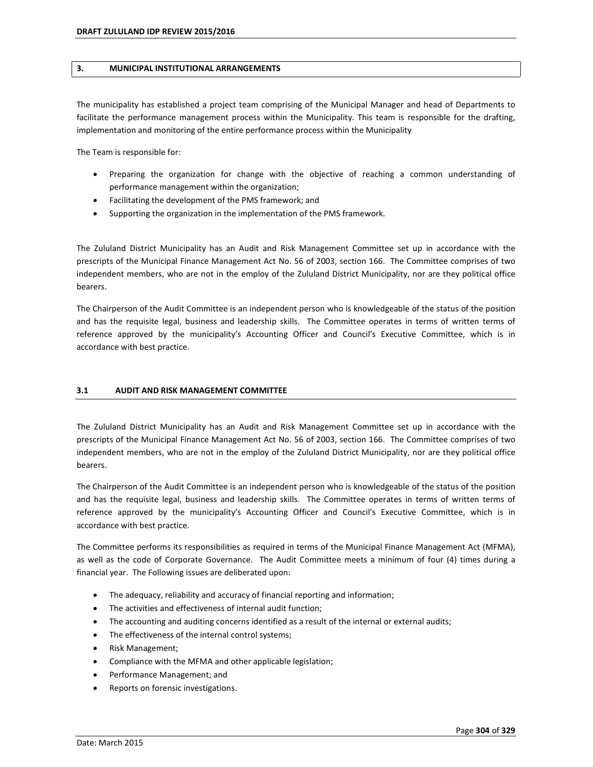### **3. MUNICIPAL INSTITUTIONAL ARRANGEMENTS**

The municipality has established a project team comprising of the Municipal Manager and head of Departments to facilitate the performance management process within the Municipality. This team is responsible for the drafting, implementation and monitoring of the entire performance process within the Municipality

The Team is responsible for:

- Preparing the organization for change with the objective of reaching a common understanding of performance management within the organization;
- Facilitating the development of the PMS framework; and
- Supporting the organization in the implementation of the PMS framework.

The Zululand District Municipality has an Audit and Risk Management Committee set up in accordance with the prescripts of the Municipal Finance Management Act No. 56 of 2003, section 166. The Committee comprises of two independent members, who are not in the employ of the Zululand District Municipality, nor are they political office bearers.

The Chairperson of the Audit Committee is an independent person who is knowledgeable of the status of the position and has the requisite legal, business and leadership skills. The Committee operates in terms of written terms of reference approved by the municipality's Accounting Officer and Council's Executive Committee, which is in accordance with best practice.

## **3.1 AUDIT AND RISK MANAGEMENT COMMITTEE**

The Zululand District Municipality has an Audit and Risk Management Committee set up in accordance with the prescripts of the Municipal Finance Management Act No. 56 of 2003, section 166. The Committee comprises of two independent members, who are not in the employ of the Zululand District Municipality, nor are they political office bearers.

The Chairperson of the Audit Committee is an independent person who is knowledgeable of the status of the position and has the requisite legal, business and leadership skills. The Committee operates in terms of written terms of reference approved by the municipality's Accounting Officer and Council's Executive Committee, which is in accordance with best practice.

The Committee performs its responsibilities as required in terms of the Municipal Finance Management Act (MFMA), as well as the code of Corporate Governance. The Audit Committee meets a minimum of four (4) times during a financial year. The Following issues are deliberated upon:

- The adequacy, reliability and accuracy of financial reporting and information;
- The activities and effectiveness of internal audit function;
- The accounting and auditing concerns identified as a result of the internal or external audits;
- The effectiveness of the internal control systems;
- Risk Management;
- Compliance with the MFMA and other applicable legislation;
- Performance Management; and
- Reports on forensic investigations.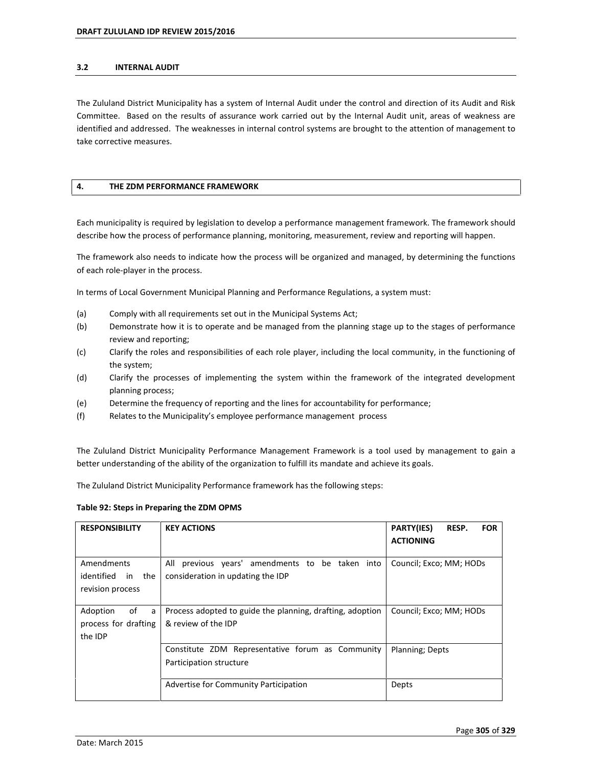### **3.2 INTERNAL AUDIT**

The Zululand District Municipality has a system of Internal Audit under the control and direction of its Audit and Risk Committee. Based on the results of assurance work carried out by the Internal Audit unit, areas of weakness are identified and addressed. The weaknesses in internal control systems are brought to the attention of management to take corrective measures.

## **4. THE ZDM PERFORMANCE FRAMEWORK**

Each municipality is required by legislation to develop a performance management framework. The framework should describe how the process of performance planning, monitoring, measurement, review and reporting will happen.

The framework also needs to indicate how the process will be organized and managed, by determining the functions of each role-player in the process.

In terms of Local Government Municipal Planning and Performance Regulations, a system must:

- (a) Comply with all requirements set out in the Municipal Systems Act;
- (b) Demonstrate how it is to operate and be managed from the planning stage up to the stages of performance review and reporting;
- (c) Clarify the roles and responsibilities of each role player, including the local community, in the functioning of the system;
- (d) Clarify the processes of implementing the system within the framework of the integrated development planning process;
- (e) Determine the frequency of reporting and the lines for accountability for performance;
- (f) Relates to the Municipalityís employee performance management process

The Zululand District Municipality Performance Management Framework is a tool used by management to gain a better understanding of the ability of the organization to fulfill its mandate and achieve its goals.

The Zululand District Municipality Performance framework has the following steps:

#### **Table 92: Steps in Preparing the ZDM OPMS**

| <b>RESPONSIBILITY</b>                                  | <b>KEY ACTIONS</b>                                                                      | PARTY(IES)<br>RESP.<br><b>FOR</b><br><b>ACTIONING</b> |
|--------------------------------------------------------|-----------------------------------------------------------------------------------------|-------------------------------------------------------|
| Amendments<br>identified in the<br>revision process    | previous years' amendments to be taken into<br>All<br>consideration in updating the IDP | Council; Exco; MM; HODs                               |
| Adoption<br>of<br>a<br>process for drafting<br>the IDP | Process adopted to guide the planning, drafting, adoption<br>& review of the IDP        | Council; Exco; MM; HODs                               |
|                                                        | Constitute ZDM Representative forum as Community<br>Participation structure             | Planning; Depts                                       |
|                                                        | Advertise for Community Participation                                                   | Depts                                                 |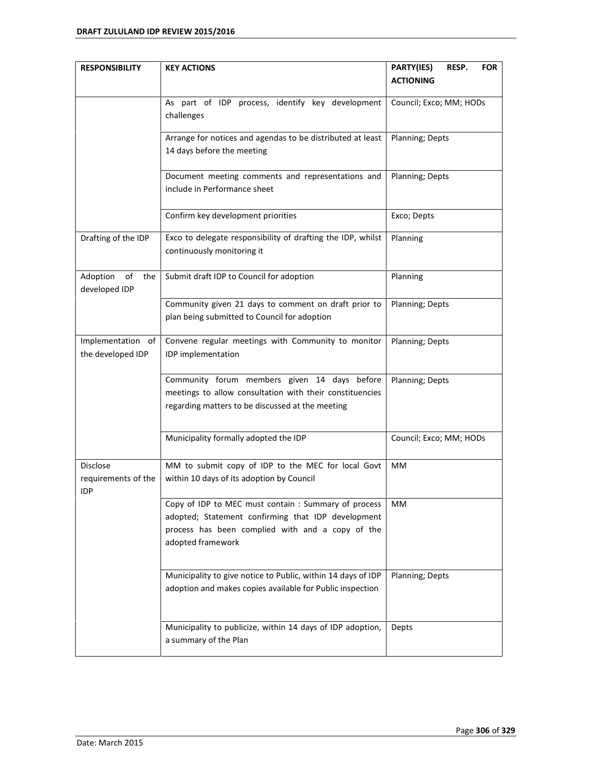| <b>RESPONSIBILITY</b>             | <b>KEY ACTIONS</b>                                           | PARTY(IES)<br>RESP.<br><b>FOR</b> |
|-----------------------------------|--------------------------------------------------------------|-----------------------------------|
|                                   |                                                              | <b>ACTIONING</b>                  |
|                                   | As part of IDP process, identify key development             | Council; Exco; MM; HODs           |
|                                   | challenges                                                   |                                   |
|                                   | Arrange for notices and agendas to be distributed at least   | Planning; Depts                   |
|                                   | 14 days before the meeting                                   |                                   |
|                                   | Document meeting comments and representations and            | Planning; Depts                   |
|                                   | include in Performance sheet                                 |                                   |
|                                   | Confirm key development priorities                           | Exco; Depts                       |
| Drafting of the IDP               | Exco to delegate responsibility of drafting the IDP, whilst  | Planning                          |
|                                   | continuously monitoring it                                   |                                   |
| Adoption<br>of<br>the             | Submit draft IDP to Council for adoption                     | Planning                          |
| developed IDP                     |                                                              |                                   |
|                                   | Community given 21 days to comment on draft prior to         | Planning; Depts                   |
|                                   | plan being submitted to Council for adoption                 |                                   |
| Implementation of                 | Convene regular meetings with Community to monitor           | Planning; Depts                   |
| the developed IDP                 | IDP implementation                                           |                                   |
|                                   | Community forum members given 14 days before                 | Planning; Depts                   |
|                                   | meetings to allow consultation with their constituencies     |                                   |
|                                   | regarding matters to be discussed at the meeting             |                                   |
|                                   | Municipality formally adopted the IDP                        | Council; Exco; MM; HODs           |
|                                   |                                                              |                                   |
| Disclose                          | MM to submit copy of IDP to the MEC for local Govt           | MM                                |
| requirements of the<br><b>IDP</b> | within 10 days of its adoption by Council                    |                                   |
|                                   | Copy of IDP to MEC must contain : Summary of process         | MМ                                |
|                                   | adopted; Statement confirming that IDP development           |                                   |
|                                   | process has been complied with and a copy of the             |                                   |
|                                   | adopted framework                                            |                                   |
|                                   | Municipality to give notice to Public, within 14 days of IDP | Planning; Depts                   |
|                                   | adoption and makes copies available for Public inspection    |                                   |
|                                   |                                                              |                                   |
|                                   | Municipality to publicize, within 14 days of IDP adoption,   | Depts                             |
|                                   | a summary of the Plan                                        |                                   |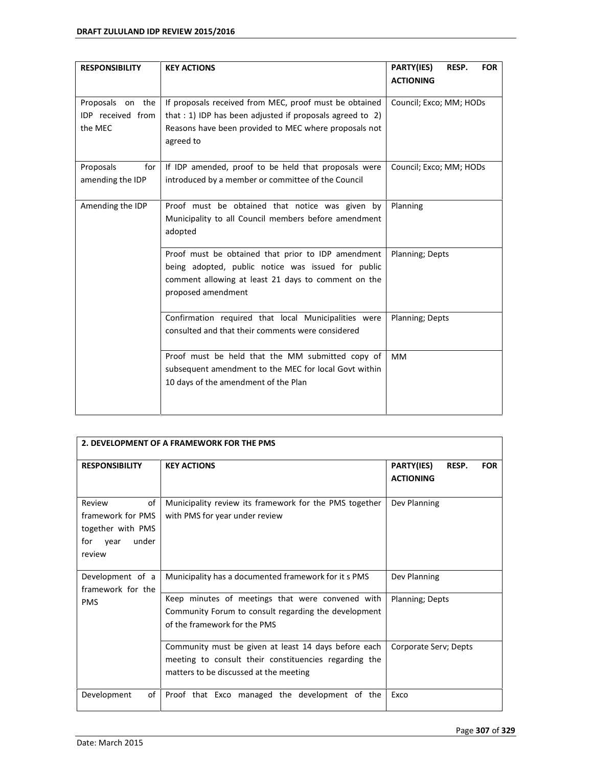| <b>RESPONSIBILITY</b>                            | <b>KEY ACTIONS</b>                                                                                                                                                                        | PARTY(IES)<br>RESP.<br><b>FOR</b><br><b>ACTIONING</b> |
|--------------------------------------------------|-------------------------------------------------------------------------------------------------------------------------------------------------------------------------------------------|-------------------------------------------------------|
| Proposals on the<br>IDP received from<br>the MEC | If proposals received from MEC, proof must be obtained<br>that : 1) IDP has been adjusted if proposals agreed to 2)<br>Reasons have been provided to MEC where proposals not<br>agreed to | Council; Exco; MM; HODs                               |
| Proposals<br>for<br>amending the IDP             | If IDP amended, proof to be held that proposals were<br>introduced by a member or committee of the Council                                                                                | Council; Exco; MM; HODs                               |
| Amending the IDP                                 | Proof must be obtained that notice was given by<br>Municipality to all Council members before amendment<br>adopted                                                                        | Planning                                              |
|                                                  | Proof must be obtained that prior to IDP amendment<br>being adopted, public notice was issued for public<br>comment allowing at least 21 days to comment on the<br>proposed amendment     | Planning; Depts                                       |
|                                                  | Confirmation required that local Municipalities were<br>consulted and that their comments were considered                                                                                 | Planning; Depts                                       |
|                                                  | Proof must be held that the MM submitted copy of<br>subsequent amendment to the MEC for local Govt within<br>10 days of the amendment of the Plan                                         | <b>MM</b>                                             |

| 2. DEVELOPMENT OF A FRAMEWORK FOR THE PMS                                                |                                                                                                                                                         |                                                              |  |
|------------------------------------------------------------------------------------------|---------------------------------------------------------------------------------------------------------------------------------------------------------|--------------------------------------------------------------|--|
| <b>RESPONSIBILITY</b>                                                                    | <b>KEY ACTIONS</b>                                                                                                                                      | <b>PARTY(IES)</b><br>RESP.<br><b>FOR</b><br><b>ACTIONING</b> |  |
| of<br>Review<br>framework for PMS<br>together with PMS<br>under<br>for<br>year<br>review | Municipality review its framework for the PMS together<br>with PMS for year under review                                                                | Dev Planning                                                 |  |
| Development of a<br>framework for the                                                    | Municipality has a documented framework for it s PMS                                                                                                    | Dev Planning                                                 |  |
| <b>PMS</b>                                                                               | Keep minutes of meetings that were convened with<br>Community Forum to consult regarding the development<br>of the framework for the PMS                | Planning; Depts                                              |  |
|                                                                                          | Community must be given at least 14 days before each<br>meeting to consult their constituencies regarding the<br>matters to be discussed at the meeting | Corporate Serv; Depts                                        |  |
| Development<br>of                                                                        | Proof that Exco managed the development of the                                                                                                          | Exco                                                         |  |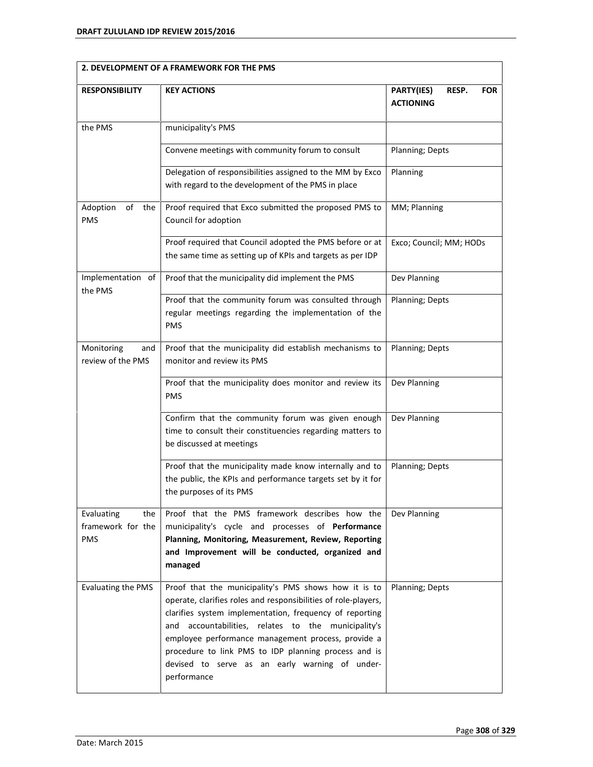| 2. DEVELOPMENT OF A FRAMEWORK FOR THE PMS            |                                                                                                                                                                                                                                                                                                                                                                                                                            |                                                       |  |
|------------------------------------------------------|----------------------------------------------------------------------------------------------------------------------------------------------------------------------------------------------------------------------------------------------------------------------------------------------------------------------------------------------------------------------------------------------------------------------------|-------------------------------------------------------|--|
| <b>RESPONSIBILITY</b>                                | <b>KEY ACTIONS</b>                                                                                                                                                                                                                                                                                                                                                                                                         | PARTY(IES)<br>RESP.<br><b>FOR</b><br><b>ACTIONING</b> |  |
| the PMS                                              | municipality's PMS                                                                                                                                                                                                                                                                                                                                                                                                         |                                                       |  |
|                                                      | Convene meetings with community forum to consult                                                                                                                                                                                                                                                                                                                                                                           | Planning; Depts                                       |  |
|                                                      | Delegation of responsibilities assigned to the MM by Exco<br>with regard to the development of the PMS in place                                                                                                                                                                                                                                                                                                            | Planning                                              |  |
| Adoption<br>of<br>the<br><b>PMS</b>                  | Proof required that Exco submitted the proposed PMS to<br>Council for adoption                                                                                                                                                                                                                                                                                                                                             | MM; Planning                                          |  |
|                                                      | Proof required that Council adopted the PMS before or at<br>the same time as setting up of KPIs and targets as per IDP                                                                                                                                                                                                                                                                                                     | Exco; Council; MM; HODs                               |  |
| Implementation of<br>the PMS                         | Proof that the municipality did implement the PMS                                                                                                                                                                                                                                                                                                                                                                          | Dev Planning                                          |  |
|                                                      | Proof that the community forum was consulted through<br>regular meetings regarding the implementation of the<br><b>PMS</b>                                                                                                                                                                                                                                                                                                 | Planning; Depts                                       |  |
| Monitoring<br>and<br>review of the PMS               | Proof that the municipality did establish mechanisms to<br>monitor and review its PMS                                                                                                                                                                                                                                                                                                                                      | Planning; Depts                                       |  |
|                                                      | Proof that the municipality does monitor and review its<br><b>PMS</b>                                                                                                                                                                                                                                                                                                                                                      | Dev Planning                                          |  |
|                                                      | Confirm that the community forum was given enough<br>time to consult their constituencies regarding matters to<br>be discussed at meetings                                                                                                                                                                                                                                                                                 | Dev Planning                                          |  |
|                                                      | Proof that the municipality made know internally and to<br>the public, the KPIs and performance targets set by it for<br>the purposes of its PMS                                                                                                                                                                                                                                                                           | Planning; Depts                                       |  |
| Evaluating<br>the<br>framework for the<br><b>PMS</b> | Proof that the PMS framework describes how the<br>municipality's cycle and processes of Performance<br>Planning, Monitoring, Measurement, Review, Reporting<br>and Improvement will be conducted, organized and<br>managed                                                                                                                                                                                                 | Dev Planning                                          |  |
| Evaluating the PMS                                   | Proof that the municipality's PMS shows how it is to<br>operate, clarifies roles and responsibilities of role-players,<br>clarifies system implementation, frequency of reporting<br>accountabilities, relates to the municipality's<br>and<br>employee performance management process, provide a<br>procedure to link PMS to IDP planning process and is<br>devised to serve as an early warning of under-<br>performance | Planning; Depts                                       |  |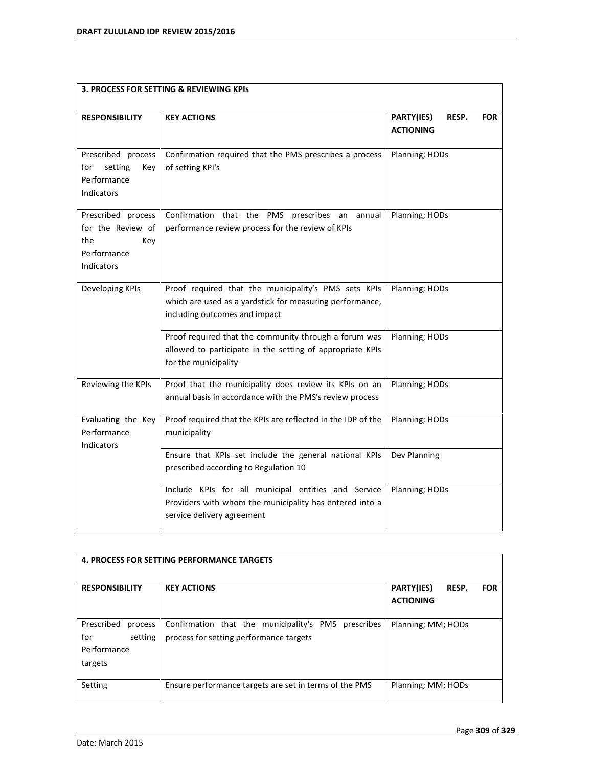| 3. PROCESS FOR SETTING & REVIEWING KPIS                                            |                                                                                                                                                   |                                                       |  |
|------------------------------------------------------------------------------------|---------------------------------------------------------------------------------------------------------------------------------------------------|-------------------------------------------------------|--|
| <b>RESPONSIBILITY</b>                                                              | <b>KEY ACTIONS</b>                                                                                                                                | PARTY(IES)<br>RESP.<br><b>FOR</b><br><b>ACTIONING</b> |  |
| Prescribed process<br>for<br>setting<br>Key<br>Performance<br>Indicators           | Confirmation required that the PMS prescribes a process<br>of setting KPI's                                                                       | Planning; HODs                                        |  |
| Prescribed process<br>for the Review of<br>the<br>Kev<br>Performance<br>Indicators | Confirmation that the PMS prescribes an annual<br>performance review process for the review of KPIs                                               | Planning; HODs                                        |  |
| Developing KPIs                                                                    | Proof required that the municipality's PMS sets KPIs<br>which are used as a yardstick for measuring performance,<br>including outcomes and impact | Planning; HODs                                        |  |
|                                                                                    | Proof required that the community through a forum was<br>allowed to participate in the setting of appropriate KPIs<br>for the municipality        | Planning; HODs                                        |  |
| Reviewing the KPIs                                                                 | Proof that the municipality does review its KPIs on an<br>annual basis in accordance with the PMS's review process                                | Planning; HODs                                        |  |
| Evaluating the Key<br>Performance<br>Indicators                                    | Proof required that the KPIs are reflected in the IDP of the<br>municipality                                                                      | Planning; HODs                                        |  |
|                                                                                    | Ensure that KPIs set include the general national KPIs<br>prescribed according to Regulation 10                                                   | Dev Planning                                          |  |
|                                                                                    | Include KPIs for all municipal entities and Service<br>Providers with whom the municipality has entered into a<br>service delivery agreement      | Planning; HODs                                        |  |

| <b>4. PROCESS FOR SETTING PERFORMANCE TARGETS</b>                 |                                                                                                |                                                              |  |
|-------------------------------------------------------------------|------------------------------------------------------------------------------------------------|--------------------------------------------------------------|--|
| <b>RESPONSIBILITY</b>                                             | <b>KEY ACTIONS</b>                                                                             | <b>PARTY(IES)</b><br>RESP.<br><b>FOR</b><br><b>ACTIONING</b> |  |
| Prescribed<br>process<br>for<br>setting<br>Performance<br>targets | Confirmation that the municipality's PMS prescribes<br>process for setting performance targets | Planning; MM; HODs                                           |  |
| Setting                                                           | Ensure performance targets are set in terms of the PMS                                         | Planning; MM; HODs                                           |  |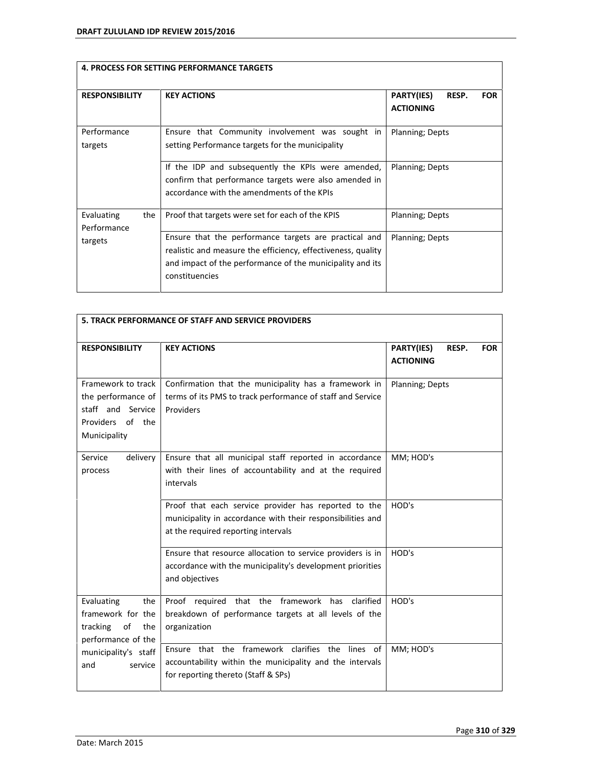| <b>4. PROCESS FOR SETTING PERFORMANCE TARGETS</b> |                                                                                                                                                                                                      |                                                              |  |
|---------------------------------------------------|------------------------------------------------------------------------------------------------------------------------------------------------------------------------------------------------------|--------------------------------------------------------------|--|
| <b>RESPONSIBILITY</b>                             | <b>KEY ACTIONS</b>                                                                                                                                                                                   | <b>PARTY(IES)</b><br>RESP.<br><b>FOR</b><br><b>ACTIONING</b> |  |
| Performance<br>targets                            | Ensure that Community involvement was sought in<br>setting Performance targets for the municipality                                                                                                  | <b>Planning</b> ; Depts                                      |  |
|                                                   | If the IDP and subsequently the KPIs were amended,<br>confirm that performance targets were also amended in<br>accordance with the amendments of the KPIs                                            | Planning; Depts                                              |  |
| Evaluating<br>the<br>Performance                  | Proof that targets were set for each of the KPIS                                                                                                                                                     | Planning; Depts                                              |  |
| targets                                           | Ensure that the performance targets are practical and<br>realistic and measure the efficiency, effectiveness, quality<br>and impact of the performance of the municipality and its<br>constituencies | Planning; Depts                                              |  |

| <b>5. TRACK PERFORMANCE OF STAFF AND SERVICE PROVIDERS</b>                                        |                                                                                                                                                           |                                                       |  |
|---------------------------------------------------------------------------------------------------|-----------------------------------------------------------------------------------------------------------------------------------------------------------|-------------------------------------------------------|--|
| <b>RESPONSIBILITY</b>                                                                             | <b>KEY ACTIONS</b>                                                                                                                                        | PARTY(IES)<br>RESP.<br><b>FOR</b><br><b>ACTIONING</b> |  |
| Framework to track<br>the performance of<br>staff and Service<br>Providers of the<br>Municipality | Confirmation that the municipality has a framework in<br>terms of its PMS to track performance of staff and Service<br>Providers                          | Planning; Depts                                       |  |
| Service<br>delivery<br>process                                                                    | Ensure that all municipal staff reported in accordance<br>with their lines of accountability and at the required<br>intervals                             | MM; HOD's                                             |  |
|                                                                                                   | Proof that each service provider has reported to the<br>municipality in accordance with their responsibilities and<br>at the required reporting intervals | HOD's                                                 |  |
|                                                                                                   | Ensure that resource allocation to service providers is in<br>accordance with the municipality's development priorities<br>and objectives                 | HOD's                                                 |  |
| Evaluating<br>the<br>framework for the<br>of<br>tracking<br>the<br>performance of the             | Proof required that the framework has<br>clarified<br>breakdown of performance targets at all levels of the<br>organization                               | HOD's                                                 |  |
| municipality's staff<br>and<br>service                                                            | Ensure that the framework clarifies the lines of<br>accountability within the municipality and the intervals<br>for reporting thereto (Staff & SPs)       | MM; HOD's                                             |  |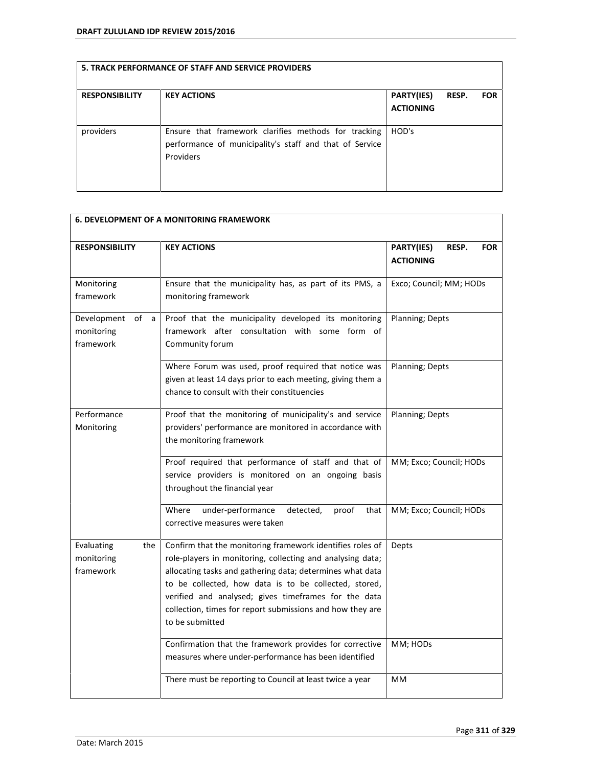| <b>RESPONSIBILITY</b> | <b>KEY ACTIONS</b>                                                                                                           | PARTY(IES)<br><b>ACTIONING</b> | RESP. | <b>FOR</b> |
|-----------------------|------------------------------------------------------------------------------------------------------------------------------|--------------------------------|-------|------------|
| providers             | Ensure that framework clarifies methods for tracking<br>performance of municipality's staff and that of Service<br>Providers | HOD's                          |       |            |

| <b>6. DEVELOPMENT OF A MONITORING FRAMEWORK</b>   |                                                                                                                                                                                                                                                                                                                                                                                       |                                                       |  |
|---------------------------------------------------|---------------------------------------------------------------------------------------------------------------------------------------------------------------------------------------------------------------------------------------------------------------------------------------------------------------------------------------------------------------------------------------|-------------------------------------------------------|--|
| <b>RESPONSIBILITY</b>                             | <b>KEY ACTIONS</b>                                                                                                                                                                                                                                                                                                                                                                    | PARTY(IES)<br>RESP.<br><b>FOR</b><br><b>ACTIONING</b> |  |
| Monitoring<br>framework                           | Ensure that the municipality has, as part of its PMS, a<br>monitoring framework                                                                                                                                                                                                                                                                                                       | Exco; Council; MM; HODs                               |  |
| Development<br>of<br>a<br>monitoring<br>framework | Proof that the municipality developed its monitoring<br>framework after consultation with some form of<br>Community forum                                                                                                                                                                                                                                                             | Planning; Depts                                       |  |
|                                                   | Where Forum was used, proof required that notice was<br>given at least 14 days prior to each meeting, giving them a<br>chance to consult with their constituencies                                                                                                                                                                                                                    | Planning; Depts                                       |  |
| Performance<br>Monitoring                         | Proof that the monitoring of municipality's and service<br>providers' performance are monitored in accordance with<br>the monitoring framework                                                                                                                                                                                                                                        | Planning; Depts                                       |  |
|                                                   | Proof required that performance of staff and that of<br>service providers is monitored on an ongoing basis<br>throughout the financial year                                                                                                                                                                                                                                           | MM; Exco; Council; HODs                               |  |
|                                                   | Where<br>under-performance<br>detected,<br>proof<br>that<br>corrective measures were taken                                                                                                                                                                                                                                                                                            | MM; Exco; Council; HODs                               |  |
| Evaluating<br>the<br>monitoring<br>framework      | Confirm that the monitoring framework identifies roles of<br>role-players in monitoring, collecting and analysing data;<br>allocating tasks and gathering data; determines what data<br>to be collected, how data is to be collected, stored,<br>verified and analysed; gives timeframes for the data<br>collection, times for report submissions and how they are<br>to be submitted | Depts                                                 |  |
|                                                   | Confirmation that the framework provides for corrective<br>measures where under-performance has been identified                                                                                                                                                                                                                                                                       | MM; HODs                                              |  |
|                                                   | There must be reporting to Council at least twice a year                                                                                                                                                                                                                                                                                                                              | MM                                                    |  |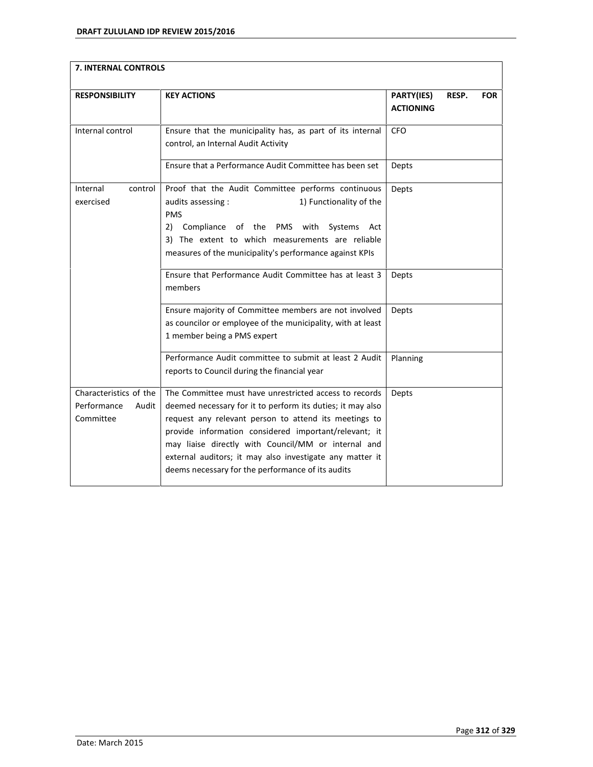| 7. INTERNAL CONTROLS                                        |                                                                                                                                                                                                                                                                                                                                                                                                                |                                                       |  |
|-------------------------------------------------------------|----------------------------------------------------------------------------------------------------------------------------------------------------------------------------------------------------------------------------------------------------------------------------------------------------------------------------------------------------------------------------------------------------------------|-------------------------------------------------------|--|
| <b>RESPONSIBILITY</b>                                       | <b>KEY ACTIONS</b>                                                                                                                                                                                                                                                                                                                                                                                             | PARTY(IES)<br>RESP.<br><b>FOR</b><br><b>ACTIONING</b> |  |
| Internal control                                            | Ensure that the municipality has, as part of its internal<br>control, an Internal Audit Activity                                                                                                                                                                                                                                                                                                               | CFO                                                   |  |
|                                                             | Ensure that a Performance Audit Committee has been set                                                                                                                                                                                                                                                                                                                                                         | Depts                                                 |  |
| Internal<br>control<br>exercised                            | Proof that the Audit Committee performs continuous<br>1) Functionality of the<br>audits assessing :<br><b>PMS</b><br>Compliance of the PMS with<br>2)<br>Systems<br>Act<br>3) The extent to which measurements are reliable<br>measures of the municipality's performance against KPIs                                                                                                                         | Depts                                                 |  |
|                                                             | Ensure that Performance Audit Committee has at least 3<br>members                                                                                                                                                                                                                                                                                                                                              | Depts                                                 |  |
|                                                             | Ensure majority of Committee members are not involved<br>as councilor or employee of the municipality, with at least<br>1 member being a PMS expert                                                                                                                                                                                                                                                            | Depts                                                 |  |
|                                                             | Performance Audit committee to submit at least 2 Audit<br>reports to Council during the financial year                                                                                                                                                                                                                                                                                                         | Planning                                              |  |
| Characteristics of the<br>Performance<br>Audit<br>Committee | The Committee must have unrestricted access to records<br>deemed necessary for it to perform its duties; it may also<br>request any relevant person to attend its meetings to<br>provide information considered important/relevant; it<br>may liaise directly with Council/MM or internal and<br>external auditors; it may also investigate any matter it<br>deems necessary for the performance of its audits | Depts                                                 |  |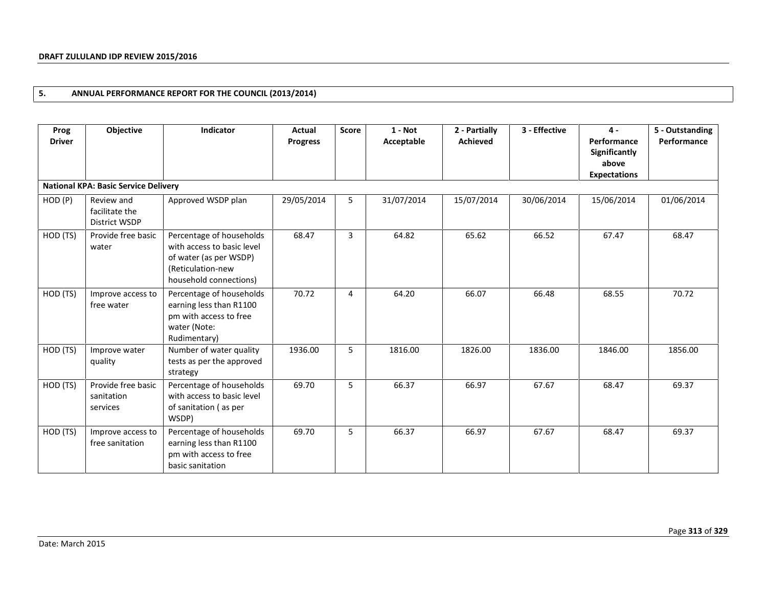# **5. ANNUAL PERFORMANCE REPORT FOR THE COUNCIL (2013/2014)**

| Prog<br><b>Driver</b> | Objective                                     | Indicator                                                                                                                       | Actual<br><b>Progress</b> | <b>Score</b> | $1 - Not$<br>Acceptable | 2 - Partially<br><b>Achieved</b> | 3 - Effective | $4 -$<br>Performance<br>Significantly<br>above<br><b>Expectations</b> | 5 - Outstanding<br>Performance |
|-----------------------|-----------------------------------------------|---------------------------------------------------------------------------------------------------------------------------------|---------------------------|--------------|-------------------------|----------------------------------|---------------|-----------------------------------------------------------------------|--------------------------------|
|                       | <b>National KPA: Basic Service Delivery</b>   |                                                                                                                                 |                           |              |                         |                                  |               |                                                                       |                                |
| HOD (P)               | Review and<br>facilitate the<br>District WSDP | Approved WSDP plan                                                                                                              | 29/05/2014                | 5            | 31/07/2014              | 15/07/2014                       | 30/06/2014    | 15/06/2014                                                            | 01/06/2014                     |
| HOD (TS)              | Provide free basic<br>water                   | Percentage of households<br>with access to basic level<br>of water (as per WSDP)<br>(Reticulation-new<br>household connections) | 68.47                     | 3            | 64.82                   | 65.62                            | 66.52         | 67.47                                                                 | 68.47                          |
| HOD (TS)              | Improve access to<br>free water               | Percentage of households<br>earning less than R1100<br>pm with access to free<br>water (Note:<br>Rudimentary)                   | 70.72                     | 4            | 64.20                   | 66.07                            | 66.48         | 68.55                                                                 | 70.72                          |
| HOD (TS)              | Improve water<br>quality                      | Number of water quality<br>tests as per the approved<br>strategy                                                                | 1936.00                   | 5            | 1816.00                 | 1826.00                          | 1836.00       | 1846.00                                                               | 1856.00                        |
| HOD (TS)              | Provide free basic<br>sanitation<br>services  | Percentage of households<br>with access to basic level<br>of sanitation (as per<br>WSDP)                                        | 69.70                     | 5            | 66.37                   | 66.97                            | 67.67         | 68.47                                                                 | 69.37                          |
| HOD (TS)              | Improve access to<br>free sanitation          | Percentage of households<br>earning less than R1100<br>pm with access to free<br>basic sanitation                               | 69.70                     | 5            | 66.37                   | 66.97                            | 67.67         | 68.47                                                                 | 69.37                          |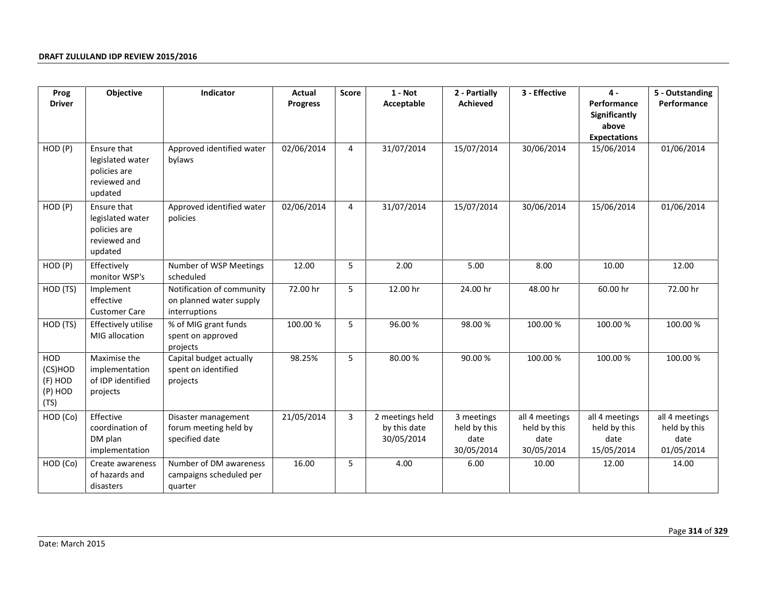| Prog                                                | Objective                                                                  | Indicator                                                             | Actual          | <b>Score</b>   | $1 - Not$                                     | 2 - Partially                                    | 3 - Effective                                        | $\mathbf 4$ -                                                | 5 - Outstanding                                      |
|-----------------------------------------------------|----------------------------------------------------------------------------|-----------------------------------------------------------------------|-----------------|----------------|-----------------------------------------------|--------------------------------------------------|------------------------------------------------------|--------------------------------------------------------------|------------------------------------------------------|
| <b>Driver</b>                                       |                                                                            |                                                                       | <b>Progress</b> |                | Acceptable                                    | <b>Achieved</b>                                  |                                                      | Performance<br>Significantly<br>above<br><b>Expectations</b> | Performance                                          |
| HOD (P)                                             | Ensure that<br>legislated water<br>policies are<br>reviewed and<br>updated | Approved identified water<br>bylaws                                   | 02/06/2014      | $\overline{4}$ | 31/07/2014                                    | 15/07/2014                                       | 30/06/2014                                           | 15/06/2014                                                   | 01/06/2014                                           |
| HOD (P)                                             | Ensure that<br>legislated water<br>policies are<br>reviewed and<br>updated | Approved identified water<br>policies                                 | 02/06/2014      | 4              | 31/07/2014                                    | 15/07/2014                                       | 30/06/2014                                           | 15/06/2014                                                   | 01/06/2014                                           |
| HOD (P)                                             | Effectively<br>monitor WSP's                                               | Number of WSP Meetings<br>scheduled                                   | 12.00           | 5              | 2.00                                          | 5.00                                             | 8.00                                                 | 10.00                                                        | 12.00                                                |
| HOD (TS)                                            | Implement<br>effective<br><b>Customer Care</b>                             | Notification of community<br>on planned water supply<br>interruptions | 72.00 hr        | 5              | 12.00 hr                                      | 24.00 hr                                         | 48.00 hr                                             | 60.00 hr                                                     | 72.00 hr                                             |
| HOD (TS)                                            | Effectively utilise<br>MIG allocation                                      | % of MIG grant funds<br>spent on approved<br>projects                 | 100.00 %        | 5              | 96.00%                                        | 98.00%                                           | 100.00%                                              | 100.00%                                                      | 100.00 %                                             |
| <b>HOD</b><br>(CS)HOD<br>(F) HOD<br>(P) HOD<br>(TS) | Maximise the<br>implementation<br>of IDP identified<br>projects            | Capital budget actually<br>spent on identified<br>projects            | 98.25%          | 5              | 80.00%                                        | 90.00%                                           | 100.00%                                              | 100.00 %                                                     | 100.00 %                                             |
| HOD (Co)                                            | Effective<br>coordination of<br>DM plan<br>implementation                  | Disaster management<br>forum meeting held by<br>specified date        | 21/05/2014      | 3              | 2 meetings held<br>by this date<br>30/05/2014 | 3 meetings<br>held by this<br>date<br>30/05/2014 | all 4 meetings<br>held by this<br>date<br>30/05/2014 | all 4 meetings<br>held by this<br>date<br>15/05/2014         | all 4 meetings<br>held by this<br>date<br>01/05/2014 |
| HOD (Co)                                            | Create awareness<br>of hazards and<br>disasters                            | Number of DM awareness<br>campaigns scheduled per<br>quarter          | 16.00           | 5              | 4.00                                          | 6.00                                             | 10.00                                                | 12.00                                                        | 14.00                                                |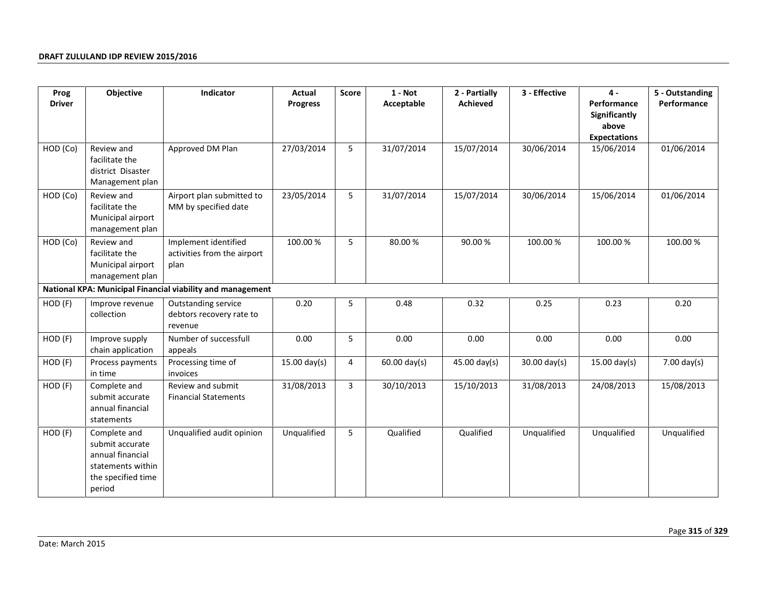| Prog          | Objective                                                                                                | Indicator                                                   | Actual          | <b>Score</b>   | $1 - Not$              | 2 - Partially | 3 - Effective          | $4 -$                                                        | 5 - Outstanding       |
|---------------|----------------------------------------------------------------------------------------------------------|-------------------------------------------------------------|-----------------|----------------|------------------------|---------------|------------------------|--------------------------------------------------------------|-----------------------|
| <b>Driver</b> |                                                                                                          |                                                             | <b>Progress</b> |                | Acceptable             | Achieved      |                        | Performance<br>Significantly<br>above<br><b>Expectations</b> | Performance           |
| HOD (Co)      | Review and<br>facilitate the<br>district Disaster<br>Management plan                                     | Approved DM Plan                                            | 27/03/2014      | 5              | 31/07/2014             | 15/07/2014    | 30/06/2014             | 15/06/2014                                                   | 01/06/2014            |
| HOD (Co)      | Review and<br>facilitate the<br>Municipal airport<br>management plan                                     | Airport plan submitted to<br>MM by specified date           | 23/05/2014      | 5              | 31/07/2014             | 15/07/2014    | 30/06/2014             | 15/06/2014                                                   | 01/06/2014            |
| HOD (Co)      | Review and<br>facilitate the<br>Municipal airport<br>management plan                                     | Implement identified<br>activities from the airport<br>plan | 100.00 %        | 5              | 80.00%                 | 90.00%        | 100.00 %               | 100.00 %                                                     | 100.00 %              |
|               |                                                                                                          | National KPA: Municipal Financial viability and management  |                 |                |                        |               |                        |                                                              |                       |
| HOD (F)       | Improve revenue<br>collection                                                                            | Outstanding service<br>debtors recovery rate to<br>revenue  | 0.20            | 5              | 0.48                   | 0.32          | 0.25                   | 0.23                                                         | 0.20                  |
| HOD (F)       | Improve supply<br>chain application                                                                      | Number of successfull<br>appeals                            | 0.00            | 5              | 0.00                   | 0.00          | 0.00                   | 0.00                                                         | 0.00                  |
| HOD (F)       | Process payments<br>in time                                                                              | Processing time of<br>invoices                              | $15.00$ day(s)  | 4              | $60.00 \text{ day(s)}$ | 45.00 day(s)  | $30.00 \text{ day(s)}$ | $15.00 \text{ day(s)}$                                       | $7.00 \text{ day(s)}$ |
| HOD (F)       | Complete and<br>submit accurate<br>annual financial<br>statements                                        | Review and submit<br><b>Financial Statements</b>            | 31/08/2013      | $\overline{3}$ | 30/10/2013             | 15/10/2013    | 31/08/2013             | 24/08/2013                                                   | 15/08/2013            |
| HOD (F)       | Complete and<br>submit accurate<br>annual financial<br>statements within<br>the specified time<br>period | Unqualified audit opinion                                   | Unqualified     | 5              | Qualified              | Qualified     | Unqualified            | Unqualified                                                  | Unqualified           |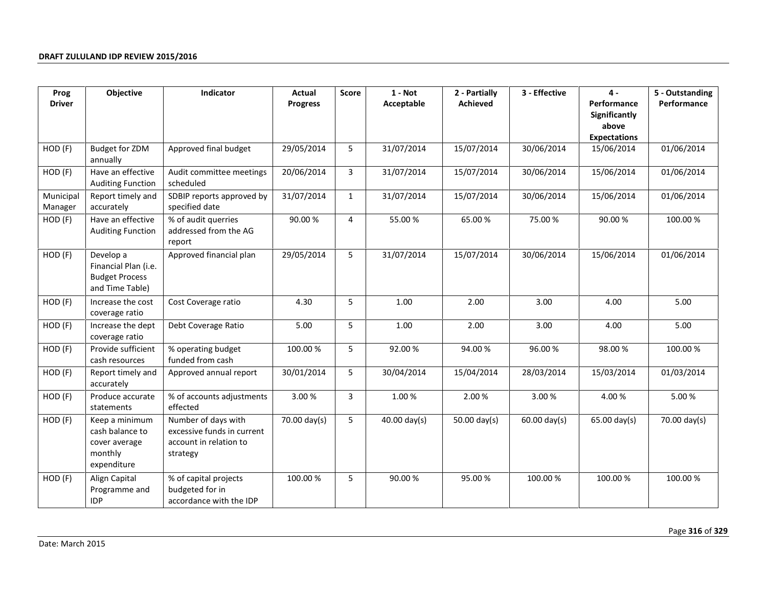| Prog                 | Objective                                                                     | Indicator                                                                               | Actual          | <b>Score</b> | $1 - Not$              | 2 - Partially   | 3 - Effective          | 4 -                                                          | 5 - Outstanding |
|----------------------|-------------------------------------------------------------------------------|-----------------------------------------------------------------------------------------|-----------------|--------------|------------------------|-----------------|------------------------|--------------------------------------------------------------|-----------------|
| <b>Driver</b>        |                                                                               |                                                                                         | <b>Progress</b> |              | Acceptable             | <b>Achieved</b> |                        | Performance<br>Significantly<br>above<br><b>Expectations</b> | Performance     |
| HOD (F)              | <b>Budget for ZDM</b><br>annually                                             | Approved final budget                                                                   | 29/05/2014      | 5            | 31/07/2014             | 15/07/2014      | 30/06/2014             | 15/06/2014                                                   | 01/06/2014      |
| HOD (F)              | Have an effective<br><b>Auditing Function</b>                                 | Audit committee meetings<br>scheduled                                                   | 20/06/2014      | 3            | 31/07/2014             | 15/07/2014      | 30/06/2014             | 15/06/2014                                                   | 01/06/2014      |
| Municipal<br>Manager | Report timely and<br>accurately                                               | SDBIP reports approved by<br>specified date                                             | 31/07/2014      | $\mathbf{1}$ | 31/07/2014             | 15/07/2014      | 30/06/2014             | 15/06/2014                                                   | 01/06/2014      |
| HOD (F)              | Have an effective<br><b>Auditing Function</b>                                 | % of audit querries<br>addressed from the AG<br>report                                  | 90.00 %         | 4            | 55.00 %                | 65.00%          | 75.00%                 | 90.00%                                                       | 100.00 %        |
| HOD (F)              | Develop a<br>Financial Plan (i.e.<br><b>Budget Process</b><br>and Time Table) | Approved financial plan                                                                 | 29/05/2014      | 5            | 31/07/2014             | 15/07/2014      | 30/06/2014             | 15/06/2014                                                   | 01/06/2014      |
| HOD (F)              | Increase the cost<br>coverage ratio                                           | Cost Coverage ratio                                                                     | 4.30            | 5            | 1.00                   | 2.00            | 3.00                   | 4.00                                                         | 5.00            |
| HOD (F)              | Increase the dept<br>coverage ratio                                           | Debt Coverage Ratio                                                                     | 5.00            | 5            | 1.00                   | 2.00            | 3.00                   | 4.00                                                         | 5.00            |
| HOD (F)              | Provide sufficient<br>cash resources                                          | % operating budget<br>funded from cash                                                  | 100.00 %        | 5            | 92.00%                 | 94.00%          | 96.00%                 | 98.00%                                                       | 100.00 %        |
| HOD (F)              | Report timely and<br>accurately                                               | Approved annual report                                                                  | 30/01/2014      | 5            | 30/04/2014             | 15/04/2014      | 28/03/2014             | 15/03/2014                                                   | 01/03/2014      |
| HOD (F)              | Produce accurate<br>statements                                                | % of accounts adjustments<br>effected                                                   | 3.00%           | 3            | 1.00%                  | 2.00%           | 3.00%                  | 4.00%                                                        | 5.00%           |
| HOD (F)              | Keep a minimum<br>cash balance to<br>cover average<br>monthly<br>expenditure  | Number of days with<br>excessive funds in current<br>account in relation to<br>strategy | 70.00 day(s)    | 5            | $40.00 \text{ day(s)}$ | 50.00 day(s)    | $60.00 \text{ day(s)}$ | $65.00$ day(s)                                               | 70.00 day(s)    |
| $HOD$ $(F)$          | Align Capital<br>Programme and<br><b>IDP</b>                                  | % of capital projects<br>budgeted for in<br>accordance with the IDP                     | 100.00 %        | 5            | 90.00%                 | 95.00%          | 100.00 %               | 100.00 %                                                     | 100.00%         |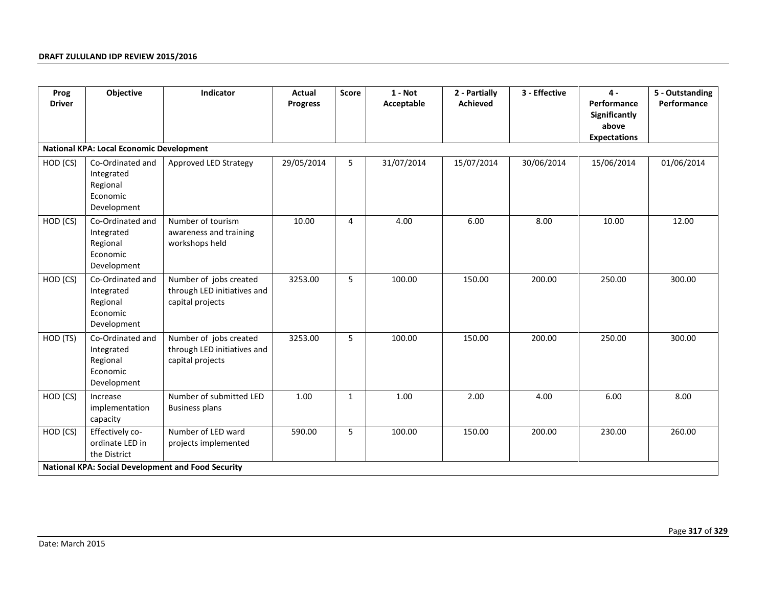| Prog<br><b>Driver</b> | Objective                                                             | Indicator                                                                 | <b>Actual</b><br><b>Progress</b> | Score        | $1 - Not$<br>Acceptable | 2 - Partially<br><b>Achieved</b> | 3 - Effective | $\mathbf{4}$<br>Performance                   | 5 - Outstanding<br>Performance |
|-----------------------|-----------------------------------------------------------------------|---------------------------------------------------------------------------|----------------------------------|--------------|-------------------------|----------------------------------|---------------|-----------------------------------------------|--------------------------------|
|                       |                                                                       |                                                                           |                                  |              |                         |                                  |               | Significantly<br>above<br><b>Expectations</b> |                                |
|                       | <b>National KPA: Local Economic Development</b>                       |                                                                           |                                  |              |                         |                                  |               |                                               |                                |
| HOD (CS)              | Co-Ordinated and<br>Integrated<br>Regional<br>Economic<br>Development | Approved LED Strategy                                                     | 29/05/2014                       | 5            | 31/07/2014              | 15/07/2014                       | 30/06/2014    | 15/06/2014                                    | 01/06/2014                     |
| HOD (CS)              | Co-Ordinated and<br>Integrated<br>Regional<br>Economic<br>Development | Number of tourism<br>awareness and training<br>workshops held             | 10.00                            | 4            | 4.00                    | 6.00                             | 8.00          | 10.00                                         | 12.00                          |
| HOD (CS)              | Co-Ordinated and<br>Integrated<br>Regional<br>Economic<br>Development | Number of jobs created<br>through LED initiatives and<br>capital projects | 3253.00                          | 5            | 100.00                  | 150.00                           | 200.00        | 250.00                                        | 300.00                         |
| HOD (TS)              | Co-Ordinated and<br>Integrated<br>Regional<br>Economic<br>Development | Number of jobs created<br>through LED initiatives and<br>capital projects | 3253.00                          | 5            | 100.00                  | 150.00                           | 200.00        | 250.00                                        | 300.00                         |
| HOD (CS)              | Increase<br>implementation<br>capacity                                | Number of submitted LED<br><b>Business plans</b>                          | 1.00                             | $\mathbf{1}$ | 1.00                    | 2.00                             | 4.00          | 6.00                                          | 8.00                           |
| HOD (CS)              | Effectively co-<br>ordinate LED in<br>the District                    | Number of LED ward<br>projects implemented                                | 590.00                           | 5            | 100.00                  | 150.00                           | 200.00        | 230.00                                        | 260.00                         |
|                       |                                                                       | <b>National KPA: Social Development and Food Security</b>                 |                                  |              |                         |                                  |               |                                               |                                |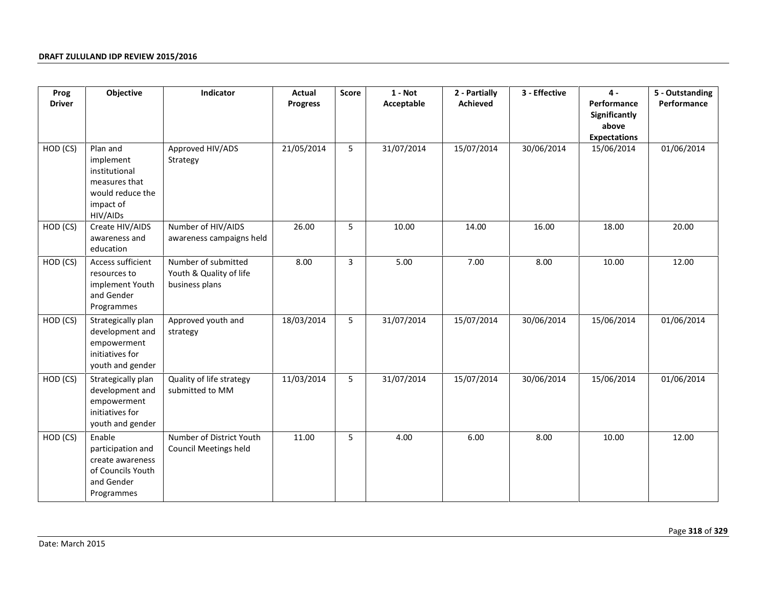| Prog          | Objective                                                                                            | Indicator                                                        | Actual          | Score          | $1 - Not$  | 2 - Partially | 3 - Effective | $4 -$                                                        | 5 - Outstanding |
|---------------|------------------------------------------------------------------------------------------------------|------------------------------------------------------------------|-----------------|----------------|------------|---------------|---------------|--------------------------------------------------------------|-----------------|
| <b>Driver</b> |                                                                                                      |                                                                  | <b>Progress</b> |                | Acceptable | Achieved      |               | Performance<br>Significantly<br>above<br><b>Expectations</b> | Performance     |
| HOD (CS)      | Plan and<br>implement<br>institutional<br>measures that<br>would reduce the<br>impact of<br>HIV/AIDs | Approved HIV/ADS<br>Strategy                                     | 21/05/2014      | 5              | 31/07/2014 | 15/07/2014    | 30/06/2014    | 15/06/2014                                                   | 01/06/2014      |
| HOD (CS)      | Create HIV/AIDS<br>awareness and<br>education                                                        | Number of HIV/AIDS<br>awareness campaigns held                   | 26.00           | 5              | 10.00      | 14.00         | 16.00         | 18.00                                                        | 20.00           |
| HOD (CS)      | Access sufficient<br>resources to<br>implement Youth<br>and Gender<br>Programmes                     | Number of submitted<br>Youth & Quality of life<br>business plans | 8.00            | $\overline{3}$ | 5.00       | 7.00          | 8.00          | 10.00                                                        | 12.00           |
| HOD (CS)      | Strategically plan<br>development and<br>empowerment<br>initiatives for<br>youth and gender          | Approved youth and<br>strategy                                   | 18/03/2014      | 5              | 31/07/2014 | 15/07/2014    | 30/06/2014    | 15/06/2014                                                   | 01/06/2014      |
| HOD (CS)      | Strategically plan<br>development and<br>empowerment<br>initiatives for<br>youth and gender          | Quality of life strategy<br>submitted to MM                      | 11/03/2014      | 5              | 31/07/2014 | 15/07/2014    | 30/06/2014    | 15/06/2014                                                   | 01/06/2014      |
| HOD (CS)      | Enable<br>participation and<br>create awareness<br>of Councils Youth<br>and Gender<br>Programmes     | Number of District Youth<br><b>Council Meetings held</b>         | 11.00           | 5              | 4.00       | 6.00          | 8.00          | 10.00                                                        | 12.00           |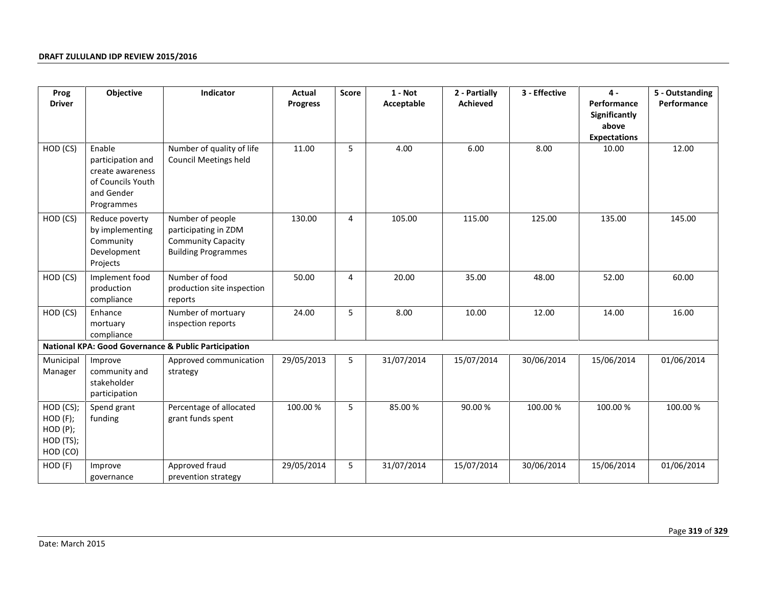| Prog                                                          | Objective                                                                                        | Indicator                                                                                           | Actual          | <b>Score</b> | $1 - Not$  | 2 - Partially | 3 - Effective | $\mathbf{4}$                                                 | 5 - Outstanding |
|---------------------------------------------------------------|--------------------------------------------------------------------------------------------------|-----------------------------------------------------------------------------------------------------|-----------------|--------------|------------|---------------|---------------|--------------------------------------------------------------|-----------------|
| <b>Driver</b>                                                 |                                                                                                  |                                                                                                     | <b>Progress</b> |              | Acceptable | Achieved      |               | Performance<br>Significantly<br>above<br><b>Expectations</b> | Performance     |
| HOD (CS)                                                      | Enable<br>participation and<br>create awareness<br>of Councils Youth<br>and Gender<br>Programmes | Number of quality of life<br><b>Council Meetings held</b>                                           | 11.00           | 5            | 4.00       | 6.00          | 8.00          | 10.00                                                        | 12.00           |
| HOD (CS)                                                      | Reduce poverty<br>by implementing<br>Community<br>Development<br>Projects                        | Number of people<br>participating in ZDM<br><b>Community Capacity</b><br><b>Building Programmes</b> | 130.00          | 4            | 105.00     | 115.00        | 125.00        | 135.00                                                       | 145.00          |
| HOD (CS)                                                      | Implement food<br>production<br>compliance                                                       | Number of food<br>production site inspection<br>reports                                             | 50.00           | 4            | 20.00      | 35.00         | 48.00         | 52.00                                                        | 60.00           |
| HOD (CS)                                                      | Enhance<br>mortuary<br>compliance                                                                | Number of mortuary<br>inspection reports                                                            | 24.00           | 5            | 8.00       | 10.00         | 12.00         | 14.00                                                        | 16.00           |
|                                                               |                                                                                                  | National KPA: Good Governance & Public Participation                                                |                 |              |            |               |               |                                                              |                 |
| Municipal<br>Manager                                          | Improve<br>community and<br>stakeholder<br>participation                                         | Approved communication<br>strategy                                                                  | 29/05/2013      | 5            | 31/07/2014 | 15/07/2014    | 30/06/2014    | 15/06/2014                                                   | 01/06/2014      |
| HOD (CS);<br>$HOD$ $(F);$<br>HOD(P);<br>HOD (TS);<br>HOD (CO) | Spend grant<br>funding                                                                           | Percentage of allocated<br>grant funds spent                                                        | 100.00 %        | 5            | 85.00%     | 90.00%        | 100.00%       | 100.00 %                                                     | 100.00 %        |
| HOD (F)                                                       | Improve<br>governance                                                                            | Approved fraud<br>prevention strategy                                                               | 29/05/2014      | 5            | 31/07/2014 | 15/07/2014    | 30/06/2014    | 15/06/2014                                                   | 01/06/2014      |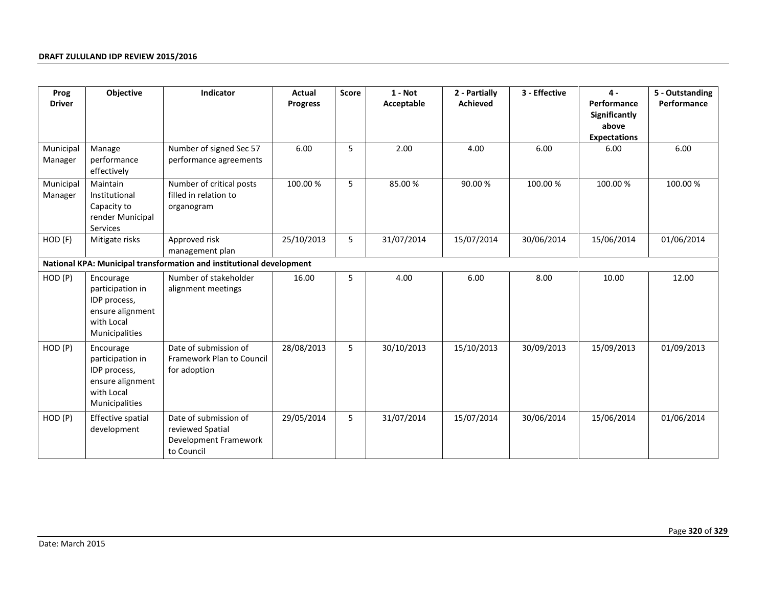| Prog                 | Objective                                                                                         | Indicator                                                                        | Actual          | <b>Score</b> | $1 - Not$  | 2 - Partially   | 3 - Effective | $4 -$                                                        | 5 - Outstanding |
|----------------------|---------------------------------------------------------------------------------------------------|----------------------------------------------------------------------------------|-----------------|--------------|------------|-----------------|---------------|--------------------------------------------------------------|-----------------|
| <b>Driver</b>        |                                                                                                   |                                                                                  | <b>Progress</b> |              | Acceptable | <b>Achieved</b> |               | Performance<br>Significantly<br>above<br><b>Expectations</b> | Performance     |
| Municipal<br>Manager | Manage<br>performance<br>effectively                                                              | Number of signed Sec 57<br>performance agreements                                | 6.00            | 5            | 2.00       | 4.00            | 6.00          | 6.00                                                         | 6.00            |
| Municipal<br>Manager | Maintain<br>Institutional<br>Capacity to<br>render Municipal<br>Services                          | Number of critical posts<br>filled in relation to<br>organogram                  | 100.00%         | 5            | 85.00%     | 90.00%          | 100.00 %      | 100.00 %                                                     | 100.00 %        |
| HOD (F)              | Mitigate risks                                                                                    | Approved risk<br>management plan                                                 | 25/10/2013      | 5            | 31/07/2014 | 15/07/2014      | 30/06/2014    | 15/06/2014                                                   | 01/06/2014      |
|                      |                                                                                                   | National KPA: Municipal transformation and institutional development             |                 |              |            |                 |               |                                                              |                 |
| HOD (P)              | Encourage<br>participation in<br>IDP process,<br>ensure alignment<br>with Local<br>Municipalities | Number of stakeholder<br>alignment meetings                                      | 16.00           | 5            | 4.00       | 6.00            | 8.00          | 10.00                                                        | 12.00           |
| HOD (P)              | Encourage<br>participation in<br>IDP process,<br>ensure alignment<br>with Local<br>Municipalities | Date of submission of<br>Framework Plan to Council<br>for adoption               | 28/08/2013      | 5            | 30/10/2013 | 15/10/2013      | 30/09/2013    | 15/09/2013                                                   | 01/09/2013      |
| HOD (P)              | Effective spatial<br>development                                                                  | Date of submission of<br>reviewed Spatial<br>Development Framework<br>to Council | 29/05/2014      | 5            | 31/07/2014 | 15/07/2014      | 30/06/2014    | 15/06/2014                                                   | 01/06/2014      |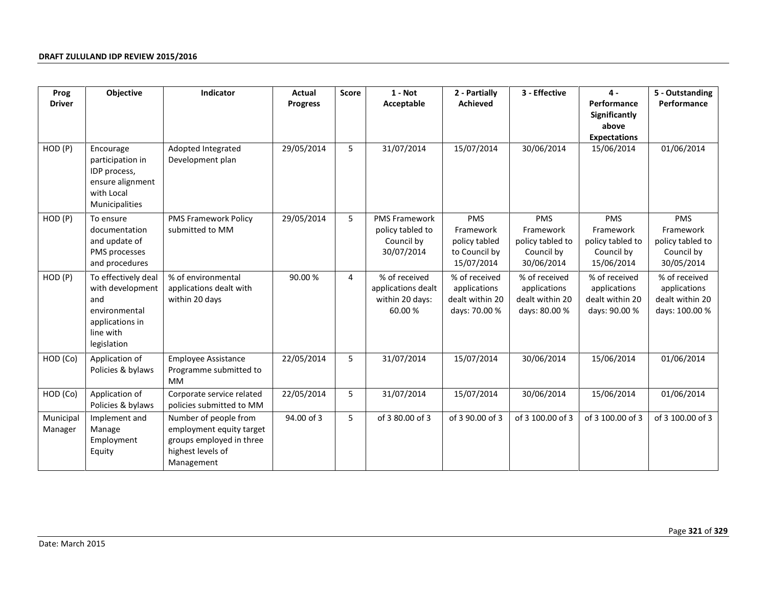| Prog                 | Objective                                                                                                      | Indicator                                                                                                        | Actual          | <b>Score</b> | $1 - Not$                                                            | 2 - Partially                                                           | 3 - Effective                                                     | 4 -                                                               | 5 - Outstanding                                                    |
|----------------------|----------------------------------------------------------------------------------------------------------------|------------------------------------------------------------------------------------------------------------------|-----------------|--------------|----------------------------------------------------------------------|-------------------------------------------------------------------------|-------------------------------------------------------------------|-------------------------------------------------------------------|--------------------------------------------------------------------|
| <b>Driver</b>        |                                                                                                                |                                                                                                                  | <b>Progress</b> |              | Acceptable                                                           | <b>Achieved</b>                                                         |                                                                   | Performance<br>Significantly<br>above<br><b>Expectations</b>      | Performance                                                        |
| HOD (P)              | Encourage<br>participation in<br>IDP process,<br>ensure alignment<br>with Local<br>Municipalities              | Adopted Integrated<br>Development plan                                                                           | 29/05/2014      | 5            | 31/07/2014                                                           | 15/07/2014                                                              | 30/06/2014                                                        | 15/06/2014                                                        | 01/06/2014                                                         |
| HOD (P)              | To ensure<br>documentation<br>and update of<br>PMS processes<br>and procedures                                 | <b>PMS Framework Policy</b><br>submitted to MM                                                                   | 29/05/2014      | 5            | <b>PMS Framework</b><br>policy tabled to<br>Council by<br>30/07/2014 | <b>PMS</b><br>Framework<br>policy tabled<br>to Council by<br>15/07/2014 | PMS<br>Framework<br>policy tabled to<br>Council by<br>30/06/2014  | PMS<br>Framework<br>policy tabled to<br>Council by<br>15/06/2014  | PMS<br>Framework<br>policy tabled to<br>Council by<br>30/05/2014   |
| HOD (P)              | To effectively deal<br>with development<br>and<br>environmental<br>applications in<br>line with<br>legislation | % of environmental<br>applications dealt with<br>within 20 days                                                  | 90.00 %         | 4            | % of received<br>applications dealt<br>within 20 days:<br>60.00%     | % of received<br>applications<br>dealt within 20<br>days: 70.00 %       | % of received<br>applications<br>dealt within 20<br>days: 80.00 % | % of received<br>applications<br>dealt within 20<br>days: 90.00 % | % of received<br>applications<br>dealt within 20<br>days: 100.00 % |
| HOD (Co)             | Application of<br>Policies & bylaws                                                                            | <b>Employee Assistance</b><br>Programme submitted to<br><b>MM</b>                                                | 22/05/2014      | 5            | 31/07/2014                                                           | 15/07/2014                                                              | 30/06/2014                                                        | 15/06/2014                                                        | 01/06/2014                                                         |
| HOD (Co)             | Application of<br>Policies & bylaws                                                                            | Corporate service related<br>policies submitted to MM                                                            | 22/05/2014      | 5            | 31/07/2014                                                           | 15/07/2014                                                              | 30/06/2014                                                        | 15/06/2014                                                        | 01/06/2014                                                         |
| Municipal<br>Manager | Implement and<br>Manage<br>Employment<br>Equity                                                                | Number of people from<br>employment equity target<br>groups employed in three<br>highest levels of<br>Management | 94.00 of 3      | 5            | of 3 80.00 of 3                                                      | of 3 90.00 of 3                                                         | of 3 100.00 of 3                                                  | of 3 100.00 of 3                                                  | of 3 100.00 of 3                                                   |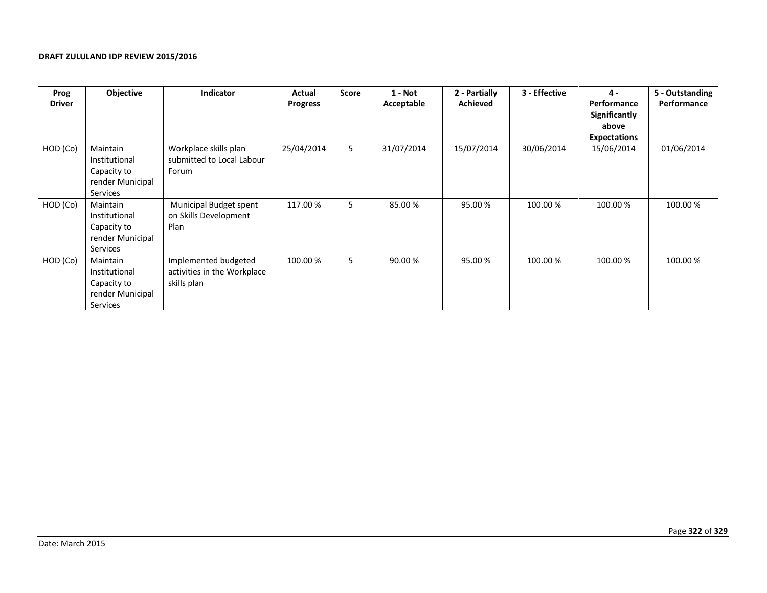| Prog          | Objective                                                                | <b>Indicator</b>                                                   | Actual          | Score | $1 - Not$  | 2 - Partially   | 3 - Effective | $4 -$                        | 5 - Outstanding |
|---------------|--------------------------------------------------------------------------|--------------------------------------------------------------------|-----------------|-------|------------|-----------------|---------------|------------------------------|-----------------|
| <b>Driver</b> |                                                                          |                                                                    | <b>Progress</b> |       | Acceptable | <b>Achieved</b> |               | Performance<br>Significantly | Performance     |
|               |                                                                          |                                                                    |                 |       |            |                 |               | above                        |                 |
|               |                                                                          |                                                                    |                 |       |            |                 |               | <b>Expectations</b>          |                 |
| HOD (Co)      | Maintain<br>Institutional<br>Capacity to<br>render Municipal<br>Services | Workplace skills plan<br>submitted to Local Labour<br>Forum        | 25/04/2014      | 5     | 31/07/2014 | 15/07/2014      | 30/06/2014    | 15/06/2014                   | 01/06/2014      |
| HOD (Co)      | Maintain<br>Institutional<br>Capacity to<br>render Municipal<br>Services | Municipal Budget spent<br>on Skills Development<br>Plan            | 117.00 %        | 5     | 85.00 %    | 95.00 %         | 100.00 %      | 100.00 %                     | 100.00 %        |
| HOD (Co)      | Maintain<br>Institutional<br>Capacity to<br>render Municipal<br>Services | Implemented budgeted<br>activities in the Workplace<br>skills plan | 100.00 %        | 5     | 90.00 %    | 95.00 %         | 100.00 %      | 100.00 %                     | 100.00 %        |